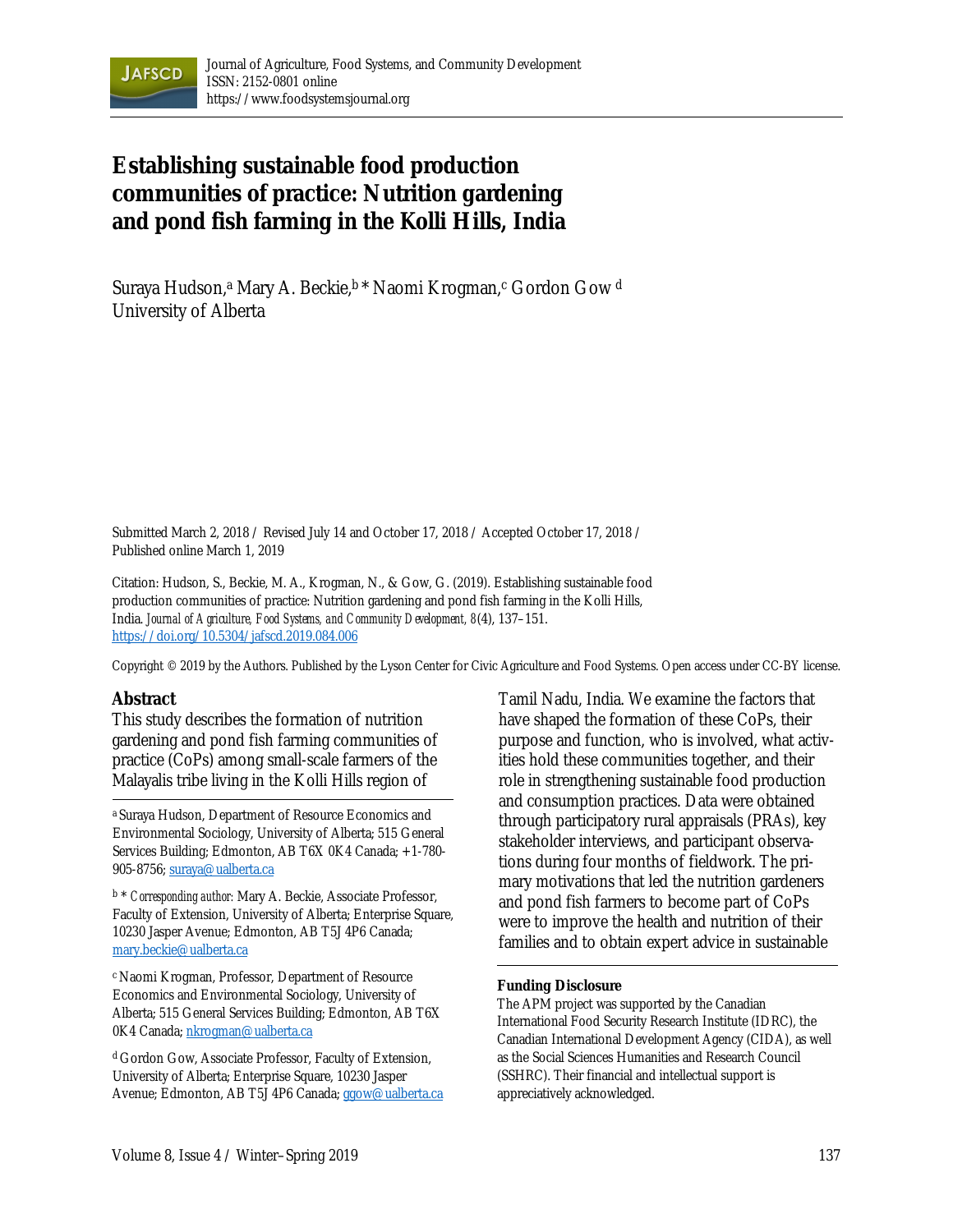

# **Establishing sustainable food production communities of practice: Nutrition gardening and pond fish farming in the Kolli Hills, India**

Suraya Hudson,<sup>a</sup> Mary A. Beckie, <sup>b\*</sup> Naomi Krogman,<sup>c</sup> Gordon Gow<sup>d</sup> University of Alberta

Submitted March 2, 2018 / Revised July 14 and October 17, 2018 / Accepted October 17, 2018 / Published online March 1, 2019

Citation: Hudson, S., Beckie, M. A., Krogman, N., & Gow, G. (2019). Establishing sustainable food production communities of practice: Nutrition gardening and pond fish farming in the Kolli Hills, India. *Journal of Agriculture, Food Systems, and Community Development, 8*(4), 137–151. https://doi.org/10.5304/jafscd.2019.084.006

Copyright © 2019 by the Authors. Published by the Lyson Center for Civic Agriculture and Food Systems. Open access under CC-BY license.

#### **Abstract**

This study describes the formation of nutrition gardening and pond fish farming communities of practice (CoPs) among small-scale farmers of the Malayalis tribe living in the Kolli Hills region of

<sup>a</sup> Suraya Hudson, Department of Resource Economics and Environmental Sociology, University of Alberta; 515 General Services Building; Edmonton, AB T6X 0K4 Canada; +1-780- 905-8756; suraya@ualberta.ca

b \* *Corresponding author:* Mary A. Beckie, Associate Professor, Faculty of Extension, University of Alberta; Enterprise Square, 10230 Jasper Avenue; Edmonton, AB T5J 4P6 Canada; mary.beckie@ualberta.ca

<sup>c</sup> Naomi Krogman, Professor, Department of Resource Economics and Environmental Sociology, University of Alberta; 515 General Services Building; Edmonton, AB T6X 0K4 Canada; nkrogman@ualberta.ca

<sup>d</sup> Gordon Gow, Associate Professor, Faculty of Extension, University of Alberta; Enterprise Square, 10230 Jasper Avenue; Edmonton, AB T5J 4P6 Canada; ggow@ualberta.ca Tamil Nadu, India. We examine the factors that have shaped the formation of these CoPs, their purpose and function, who is involved, what activities hold these communities together, and their role in strengthening sustainable food production and consumption practices. Data were obtained through participatory rural appraisals (PRAs), key stakeholder interviews, and participant observations during four months of fieldwork. The primary motivations that led the nutrition gardeners and pond fish farmers to become part of CoPs were to improve the health and nutrition of their families and to obtain expert advice in sustainable

#### **Funding Disclosure**

The APM project was supported by the Canadian International Food Security Research Institute (IDRC), the Canadian International Development Agency (CIDA), as well as the Social Sciences Humanities and Research Council (SSHRC). Their financial and intellectual support is appreciatively acknowledged.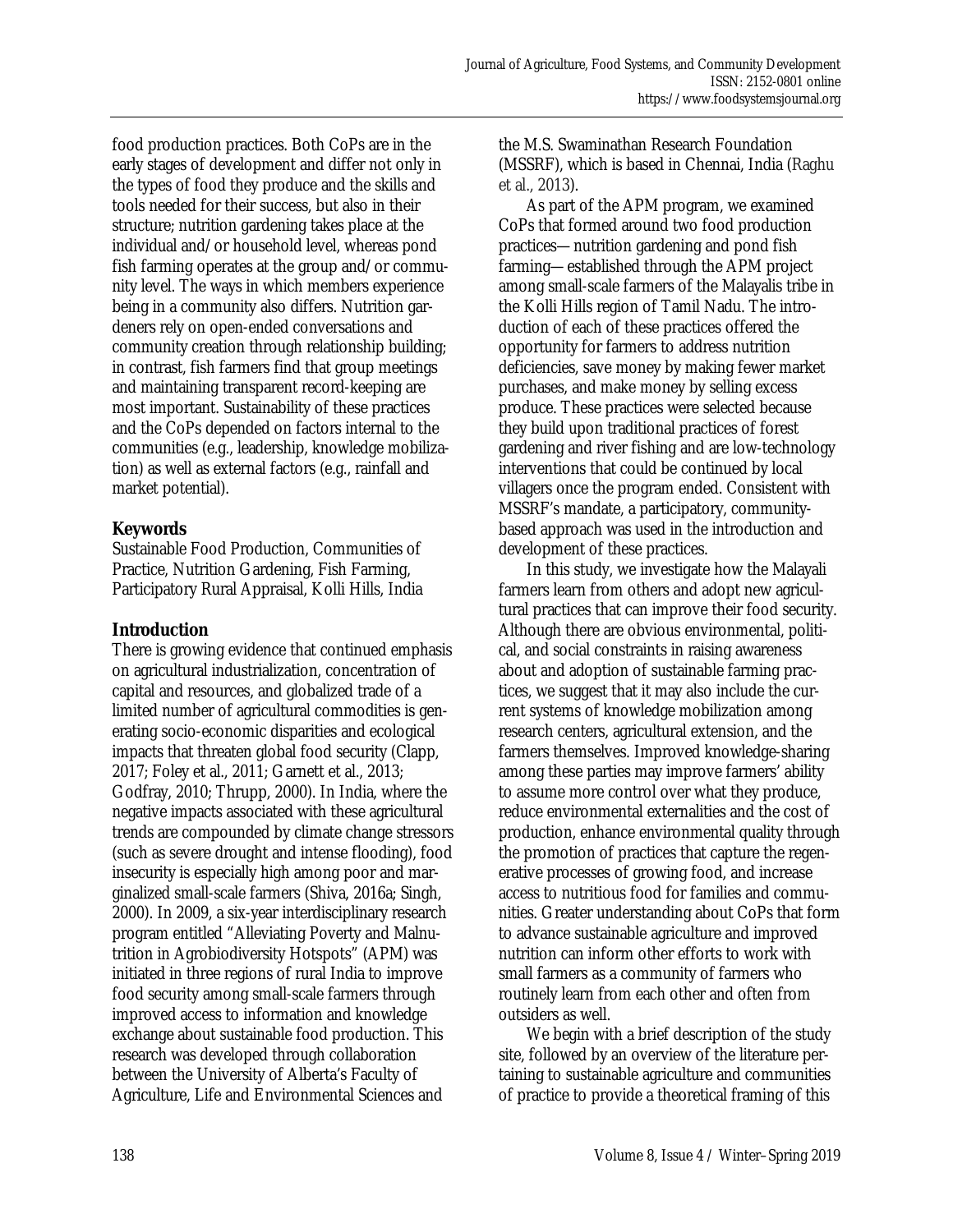food production practices. Both CoPs are in the early stages of development and differ not only in the types of food they produce and the skills and tools needed for their success, but also in their structure; nutrition gardening takes place at the individual and/or household level, whereas pond fish farming operates at the group and/or community level. The ways in which members experience being in a community also differs. Nutrition gardeners rely on open-ended conversations and community creation through relationship building; in contrast, fish farmers find that group meetings and maintaining transparent record-keeping are most important. Sustainability of these practices and the CoPs depended on factors internal to the communities (e.g., leadership, knowledge mobilization) as well as external factors (e.g., rainfall and market potential).

# **Keywords**

Sustainable Food Production, Communities of Practice, Nutrition Gardening, Fish Farming, Participatory Rural Appraisal, Kolli Hills, India

# **Introduction**

There is growing evidence that continued emphasis on agricultural industrialization, concentration of capital and resources, and globalized trade of a limited number of agricultural commodities is generating socio-economic disparities and ecological impacts that threaten global food security (Clapp, 2017; Foley et al., 2011; Garnett et al., 2013; Godfray, 2010; Thrupp, 2000). In India, where the negative impacts associated with these agricultural trends are compounded by climate change stressors (such as severe drought and intense flooding), food insecurity is especially high among poor and marginalized small-scale farmers (Shiva, 2016a; Singh, 2000). In 2009, a six-year interdisciplinary research program entitled "Alleviating Poverty and Malnutrition in Agrobiodiversity Hotspots" (APM) was initiated in three regions of rural India to improve food security among small-scale farmers through improved access to information and knowledge exchange about sustainable food production. This research was developed through collaboration between the University of Alberta's Faculty of Agriculture, Life and Environmental Sciences and

the M.S. Swaminathan Research Foundation (MSSRF), which is based in Chennai, India (Raghu et al., 2013).

 As part of the APM program, we examined CoPs that formed around two food production practices—nutrition gardening and pond fish farming—established through the APM project among small-scale farmers of the Malayalis tribe in the Kolli Hills region of Tamil Nadu. The introduction of each of these practices offered the opportunity for farmers to address nutrition deficiencies, save money by making fewer market purchases, and make money by selling excess produce. These practices were selected because they build upon traditional practices of forest gardening and river fishing and are low-technology interventions that could be continued by local villagers once the program ended. Consistent with MSSRF's mandate, a participatory, communitybased approach was used in the introduction and development of these practices.

 In this study, we investigate how the Malayali farmers learn from others and adopt new agricultural practices that can improve their food security. Although there are obvious environmental, political, and social constraints in raising awareness about and adoption of sustainable farming practices, we suggest that it may also include the current systems of knowledge mobilization among research centers, agricultural extension, and the farmers themselves. Improved knowledge-sharing among these parties may improve farmers' ability to assume more control over what they produce, reduce environmental externalities and the cost of production, enhance environmental quality through the promotion of practices that capture the regenerative processes of growing food, and increase access to nutritious food for families and communities. Greater understanding about CoPs that form to advance sustainable agriculture and improved nutrition can inform other efforts to work with small farmers as a community of farmers who routinely learn from each other and often from outsiders as well.

 We begin with a brief description of the study site, followed by an overview of the literature pertaining to sustainable agriculture and communities of practice to provide a theoretical framing of this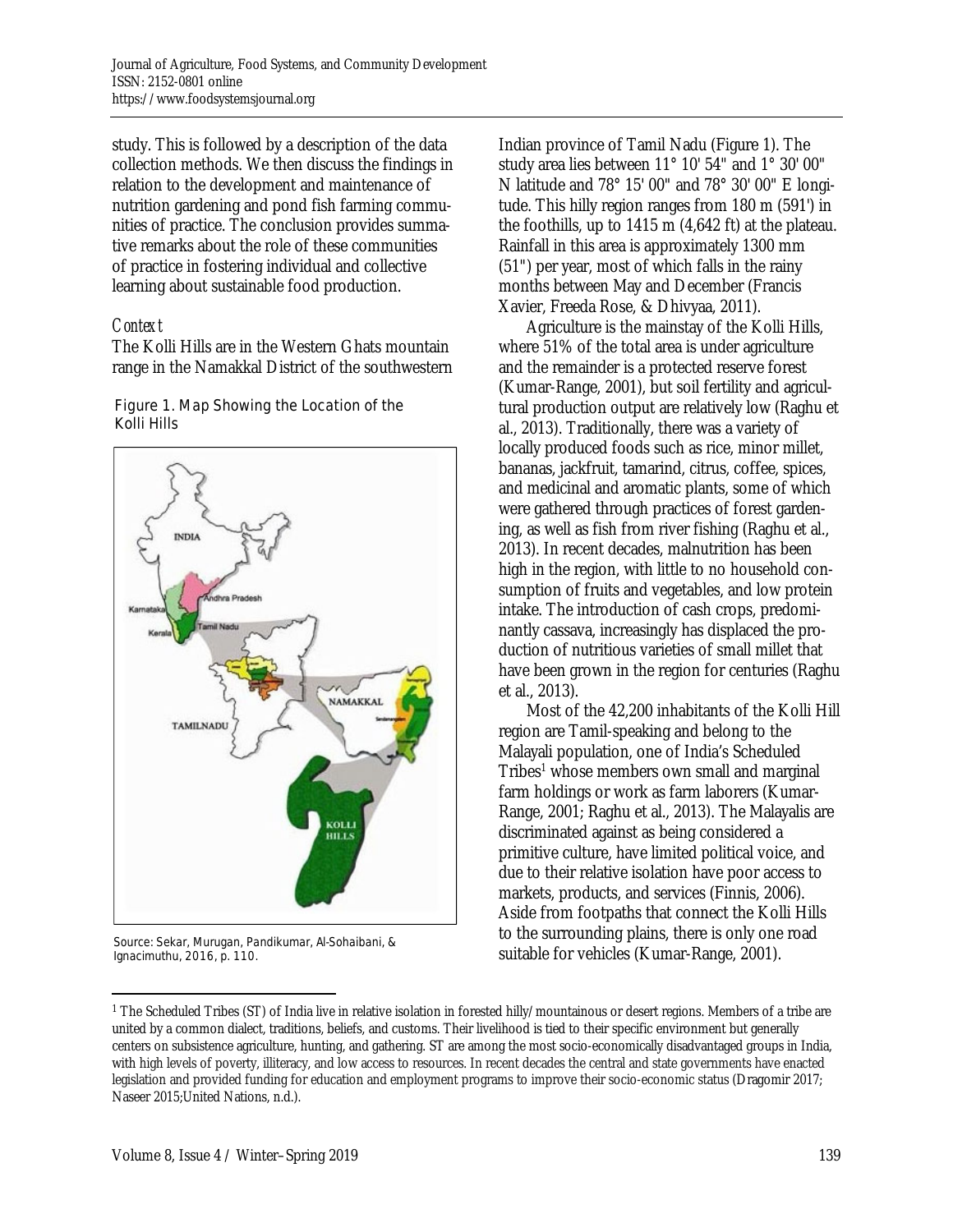study. This is followed by a description of the data collection methods. We then discuss the findings in relation to the development and maintenance of nutrition gardening and pond fish farming communities of practice. The conclusion provides summative remarks about the role of these communities of practice in fostering individual and collective learning about sustainable food production.

## *Context*

The Kolli Hills are in the Western Ghats mountain range in the Namakkal District of the southwestern

#### Figure 1. Map Showing the Location of the Kolli Hills



Source: Sekar, Murugan, Pandikumar, Al-Sohaibani, & Ignacimuthu, 2016, p. 110.

 $\overline{a}$ 

Indian province of Tamil Nadu (Figure 1). The study area lies between 11° 10' 54" and 1° 30' 00" N latitude and 78° 15' 00" and 78° 30' 00" E longitude. This hilly region ranges from 180 m (591') in the foothills, up to 1415 m (4,642 ft) at the plateau. Rainfall in this area is approximately 1300 mm (51") per year, most of which falls in the rainy months between May and December (Francis Xavier, Freeda Rose, & Dhivyaa, 2011).

 Agriculture is the mainstay of the Kolli Hills, where 51% of the total area is under agriculture and the remainder is a protected reserve forest (Kumar-Range, 2001), but soil fertility and agricultural production output are relatively low (Raghu et al., 2013). Traditionally, there was a variety of locally produced foods such as rice, minor millet, bananas, jackfruit, tamarind, citrus, coffee, spices, and medicinal and aromatic plants, some of which were gathered through practices of forest gardening, as well as fish from river fishing (Raghu et al., 2013). In recent decades, malnutrition has been high in the region, with little to no household consumption of fruits and vegetables, and low protein intake. The introduction of cash crops, predominantly cassava, increasingly has displaced the production of nutritious varieties of small millet that have been grown in the region for centuries (Raghu et al., 2013).

 Most of the 42,200 inhabitants of the Kolli Hill region are Tamil-speaking and belong to the Malayali population, one of India's Scheduled Tribes<sup>1</sup> whose members own small and marginal farm holdings or work as farm laborers (Kumar-Range, 2001; Raghu et al., 2013). The Malayalis are discriminated against as being considered a primitive culture, have limited political voice, and due to their relative isolation have poor access to markets, products, and services (Finnis, 2006). Aside from footpaths that connect the Kolli Hills to the surrounding plains, there is only one road suitable for vehicles (Kumar-Range, 2001).

<sup>1</sup> The Scheduled Tribes (ST) of India live in relative isolation in forested hilly/mountainous or desert regions. Members of a tribe are united by a common dialect, traditions, beliefs, and customs. Their livelihood is tied to their specific environment but generally centers on subsistence agriculture, hunting, and gathering. ST are among the most socio-economically disadvantaged groups in India, with high levels of poverty, illiteracy, and low access to resources. In recent decades the central and state governments have enacted legislation and provided funding for education and employment programs to improve their socio-economic status (Dragomir 2017; Naseer 2015;United Nations, n.d.).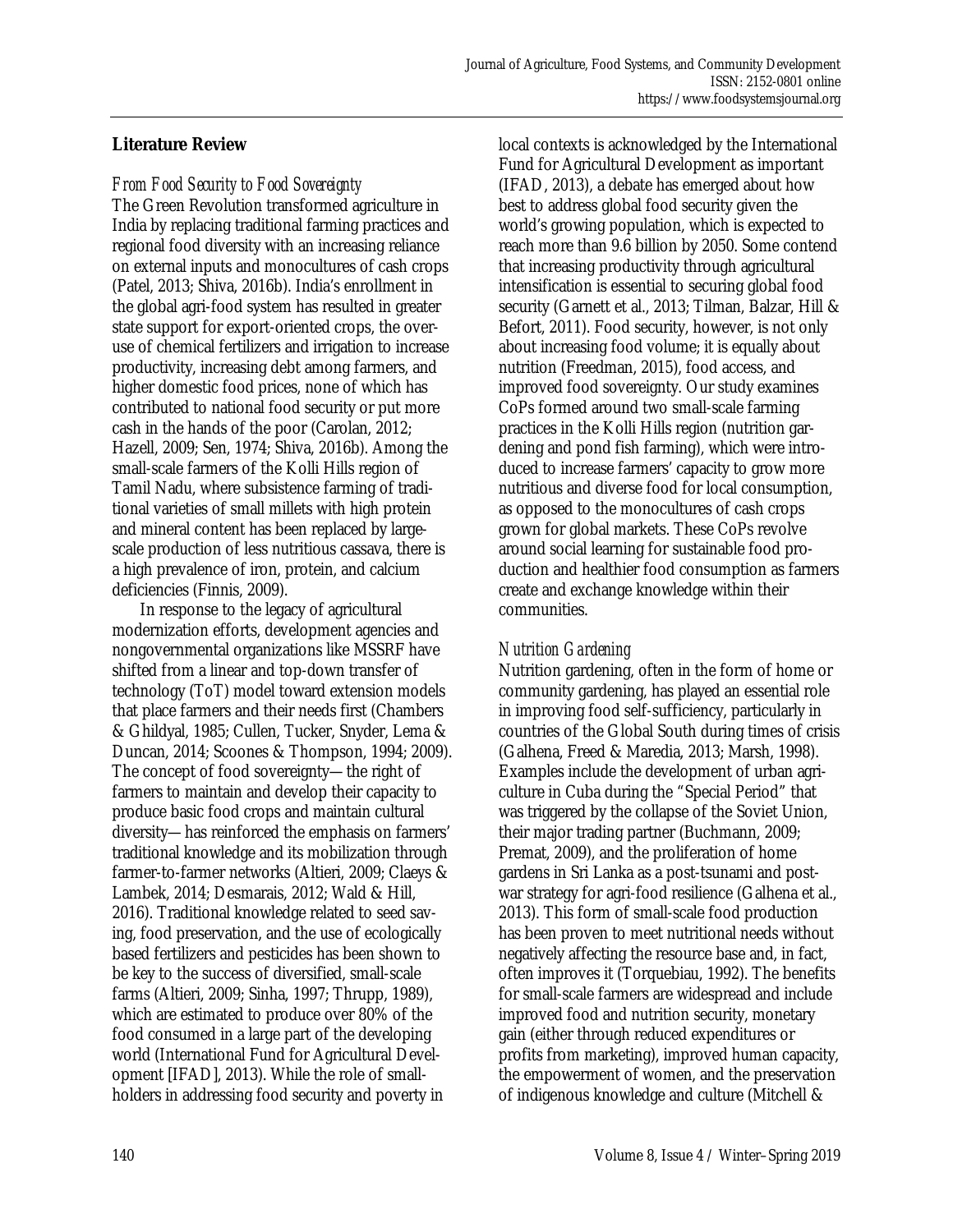## **Literature Review**

#### *From Food Security to Food Sovereignty*

The Green Revolution transformed agriculture in India by replacing traditional farming practices and regional food diversity with an increasing reliance on external inputs and monocultures of cash crops (Patel, 2013; Shiva, 2016b). India's enrollment in the global agri-food system has resulted in greater state support for export-oriented crops, the overuse of chemical fertilizers and irrigation to increase productivity, increasing debt among farmers, and higher domestic food prices, none of which has contributed to national food security or put more cash in the hands of the poor (Carolan, 2012; Hazell, 2009; Sen, 1974; Shiva, 2016b). Among the small-scale farmers of the Kolli Hills region of Tamil Nadu, where subsistence farming of traditional varieties of small millets with high protein and mineral content has been replaced by largescale production of less nutritious cassava, there is a high prevalence of iron, protein, and calcium deficiencies (Finnis, 2009).

 In response to the legacy of agricultural modernization efforts, development agencies and nongovernmental organizations like MSSRF have shifted from a linear and top-down transfer of technology (ToT) model toward extension models that place farmers and their needs first (Chambers & Ghildyal, 1985; Cullen, Tucker, Snyder, Lema & Duncan, 2014; Scoones & Thompson, 1994; 2009). The concept of food sovereignty—the right of farmers to maintain and develop their capacity to produce basic food crops and maintain cultural diversity—has reinforced the emphasis on farmers' traditional knowledge and its mobilization through farmer-to-farmer networks (Altieri, 2009; Claeys & Lambek, 2014; Desmarais, 2012; Wald & Hill, 2016). Traditional knowledge related to seed saving, food preservation, and the use of ecologically based fertilizers and pesticides has been shown to be key to the success of diversified, small-scale farms (Altieri, 2009; Sinha, 1997; Thrupp, 1989), which are estimated to produce over 80% of the food consumed in a large part of the developing world (International Fund for Agricultural Development [IFAD], 2013). While the role of smallholders in addressing food security and poverty in

local contexts is acknowledged by the International Fund for Agricultural Development as important (IFAD, 2013), a debate has emerged about how best to address global food security given the world's growing population, which is expected to reach more than 9.6 billion by 2050. Some contend that increasing productivity through agricultural intensification is essential to securing global food security (Garnett et al., 2013; Tilman, Balzar, Hill & Befort, 2011). Food security, however, is not only about increasing food volume; it is equally about nutrition (Freedman, 2015), food access, and improved food sovereignty. Our study examines CoPs formed around two small-scale farming practices in the Kolli Hills region (nutrition gardening and pond fish farming), which were introduced to increase farmers' capacity to grow more nutritious and diverse food for local consumption, as opposed to the monocultures of cash crops grown for global markets. These CoPs revolve around social learning for sustainable food production and healthier food consumption as farmers create and exchange knowledge within their communities.

# *Nutrition Gardening*

Nutrition gardening, often in the form of home or community gardening, has played an essential role in improving food self-sufficiency, particularly in countries of the Global South during times of crisis (Galhena, Freed & Maredia, 2013; Marsh, 1998). Examples include the development of urban agriculture in Cuba during the "Special Period" that was triggered by the collapse of the Soviet Union, their major trading partner (Buchmann, 2009; Premat, 2009), and the proliferation of home gardens in Sri Lanka as a post-tsunami and postwar strategy for agri-food resilience (Galhena et al., 2013). This form of small-scale food production has been proven to meet nutritional needs without negatively affecting the resource base and, in fact, often improves it (Torquebiau, 1992). The benefits for small-scale farmers are widespread and include improved food and nutrition security, monetary gain (either through reduced expenditures or profits from marketing), improved human capacity, the empowerment of women, and the preservation of indigenous knowledge and culture (Mitchell &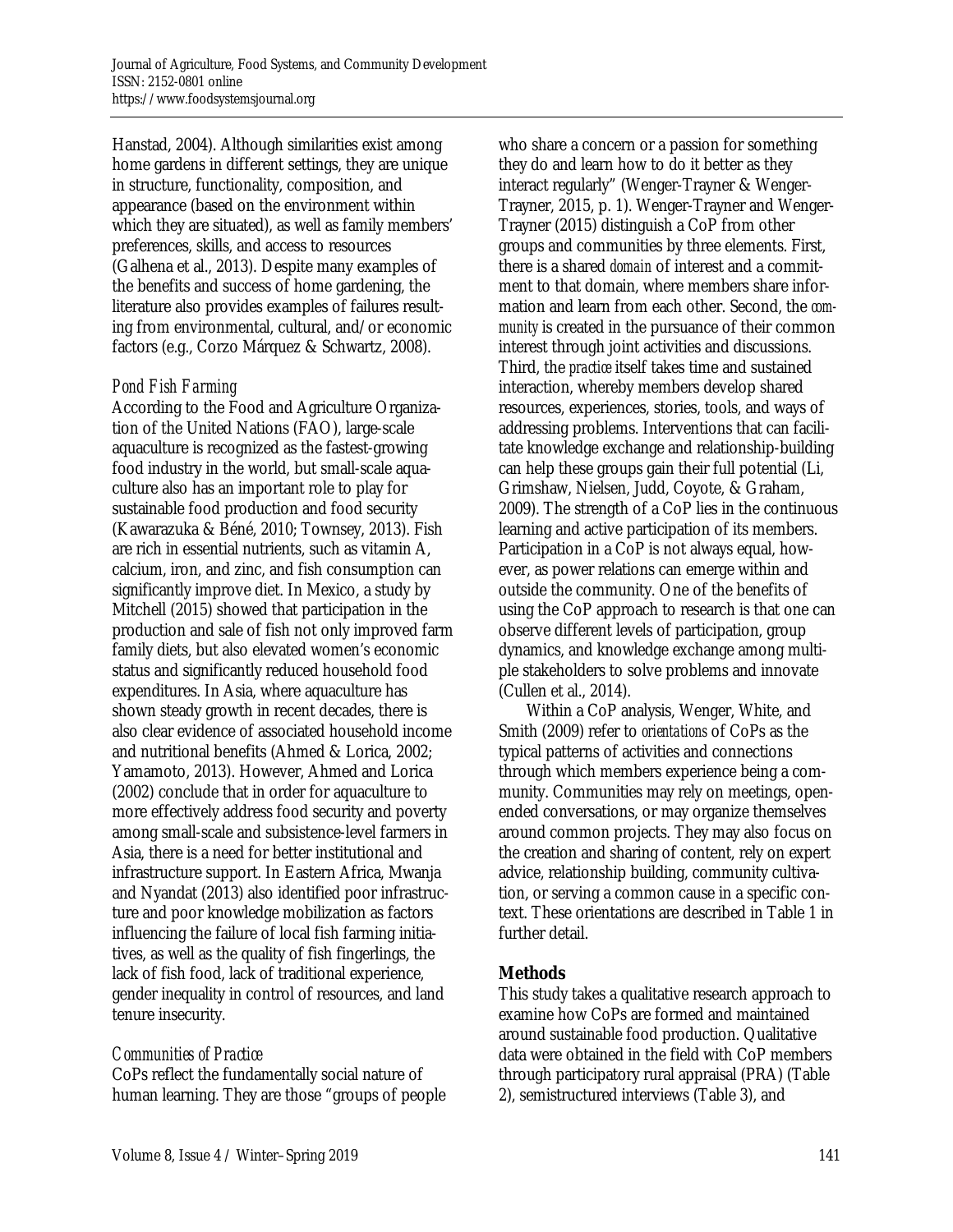Hanstad, 2004). Although similarities exist among home gardens in different settings, they are unique in structure, functionality, composition, and appearance (based on the environment within which they are situated), as well as family members' preferences, skills, and access to resources (Galhena et al., 2013). Despite many examples of the benefits and success of home gardening, the literature also provides examples of failures resulting from environmental, cultural, and/or economic factors (e.g., Corzo Márquez & Schwartz, 2008).

## *Pond Fish Farming*

According to the Food and Agriculture Organization of the United Nations (FAO), large-scale aquaculture is recognized as the fastest-growing food industry in the world, but small-scale aquaculture also has an important role to play for sustainable food production and food security (Kawarazuka & Béné, 2010; Townsey, 2013). Fish are rich in essential nutrients, such as vitamin A, calcium, iron, and zinc, and fish consumption can significantly improve diet. In Mexico, a study by Mitchell (2015) showed that participation in the production and sale of fish not only improved farm family diets, but also elevated women's economic status and significantly reduced household food expenditures. In Asia, where aquaculture has shown steady growth in recent decades, there is also clear evidence of associated household income and nutritional benefits (Ahmed & Lorica, 2002; Yamamoto, 2013). However, Ahmed and Lorica (2002) conclude that in order for aquaculture to more effectively address food security and poverty among small-scale and subsistence-level farmers in Asia, there is a need for better institutional and infrastructure support. In Eastern Africa, Mwanja and Nyandat (2013) also identified poor infrastructure and poor knowledge mobilization as factors influencing the failure of local fish farming initiatives, as well as the quality of fish fingerlings, the lack of fish food, lack of traditional experience, gender inequality in control of resources, and land tenure insecurity.

# *Communities of Practice*

CoPs reflect the fundamentally social nature of human learning. They are those "groups of people who share a concern or a passion for something they do and learn how to do it better as they interact regularly" (Wenger-Trayner & Wenger-Trayner, 2015, p. 1). Wenger-Trayner and Wenger-Trayner (2015) distinguish a CoP from other groups and communities by three elements. First, there is a shared *domain* of interest and a commitment to that domain, where members share information and learn from each other. Second, the *community* is created in the pursuance of their common interest through joint activities and discussions. Third, the *practice* itself takes time and sustained interaction, whereby members develop shared resources, experiences, stories, tools, and ways of addressing problems. Interventions that can facilitate knowledge exchange and relationship-building can help these groups gain their full potential (Li, Grimshaw, Nielsen, Judd, Coyote, & Graham, 2009). The strength of a CoP lies in the continuous learning and active participation of its members. Participation in a CoP is not always equal, however, as power relations can emerge within and outside the community. One of the benefits of using the CoP approach to research is that one can observe different levels of participation, group dynamics, and knowledge exchange among multiple stakeholders to solve problems and innovate (Cullen et al., 2014).

 Within a CoP analysis, Wenger, White, and Smith (2009) refer to *orientations* of CoPs as the typical patterns of activities and connections through which members experience being a community. Communities may rely on meetings, openended conversations, or may organize themselves around common projects. They may also focus on the creation and sharing of content, rely on expert advice, relationship building, community cultivation, or serving a common cause in a specific context. These orientations are described in Table 1 in further detail.

# **Methods**

This study takes a qualitative research approach to examine how CoPs are formed and maintained around sustainable food production. Qualitative data were obtained in the field with CoP members through participatory rural appraisal (PRA) (Table 2), semistructured interviews (Table 3), and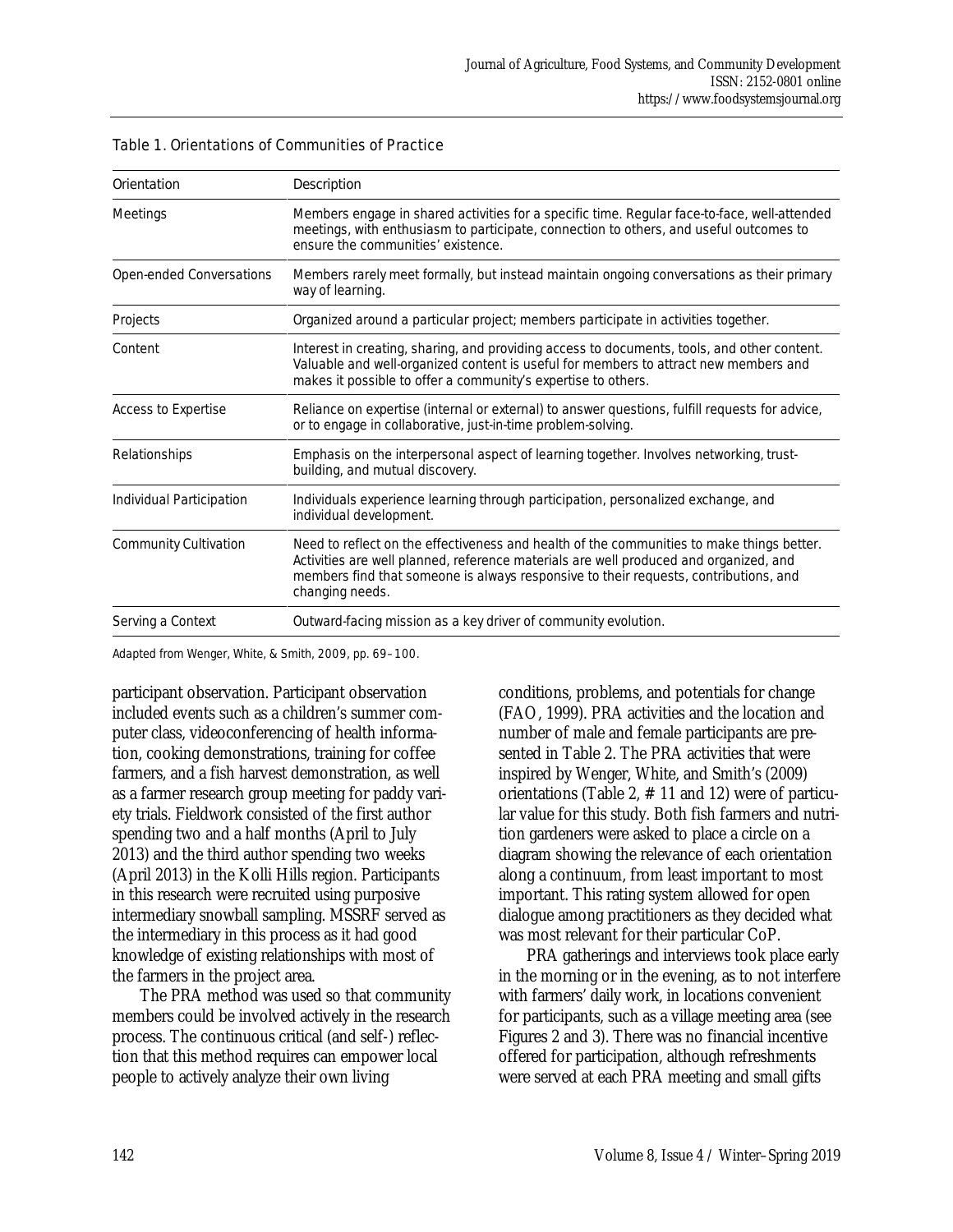| Orientation                  | Description                                                                                                                                                                                                                                                                                   |  |  |
|------------------------------|-----------------------------------------------------------------------------------------------------------------------------------------------------------------------------------------------------------------------------------------------------------------------------------------------|--|--|
| <b>Meetings</b>              | Members engage in shared activities for a specific time. Regular face-to-face, well-attended<br>meetings, with enthusiasm to participate, connection to others, and useful outcomes to<br>ensure the communities' existence.                                                                  |  |  |
| Open-ended Conversations     | Members rarely meet formally, but instead maintain ongoing conversations as their primary<br>way of learning.                                                                                                                                                                                 |  |  |
| Projects                     | Organized around a particular project; members participate in activities together.                                                                                                                                                                                                            |  |  |
| Content                      | Interest in creating, sharing, and providing access to documents, tools, and other content.<br>Valuable and well-organized content is useful for members to attract new members and<br>makes it possible to offer a community's expertise to others.                                          |  |  |
| Access to Expertise          | Reliance on expertise (internal or external) to answer questions, fulfill requests for advice,<br>or to engage in collaborative, just-in-time problem-solving.                                                                                                                                |  |  |
| Relationships                | Emphasis on the interpersonal aspect of learning together. Involves networking, trust-<br>building, and mutual discovery.                                                                                                                                                                     |  |  |
| Individual Participation     | Individuals experience learning through participation, personalized exchange, and<br>individual development.                                                                                                                                                                                  |  |  |
| <b>Community Cultivation</b> | Need to reflect on the effectiveness and health of the communities to make things better.<br>Activities are well planned, reference materials are well produced and organized, and<br>members find that someone is always responsive to their requests, contributions, and<br>changing needs. |  |  |
| Serving a Context            | Outward-facing mission as a key driver of community evolution.                                                                                                                                                                                                                                |  |  |

#### Table 1. Orientations of Communities of Practice

Adapted from Wenger, White, & Smith, 2009, pp. 69–100.

participant observation. Participant observation included events such as a children's summer computer class, videoconferencing of health information, cooking demonstrations, training for coffee farmers, and a fish harvest demonstration, as well as a farmer research group meeting for paddy variety trials. Fieldwork consisted of the first author spending two and a half months (April to July 2013) and the third author spending two weeks (April 2013) in the Kolli Hills region. Participants in this research were recruited using purposive intermediary snowball sampling. MSSRF served as the intermediary in this process as it had good knowledge of existing relationships with most of the farmers in the project area.

 The PRA method was used so that community members could be involved actively in the research process. The continuous critical (and self-) reflection that this method requires can empower local people to actively analyze their own living

conditions, problems, and potentials for change (FAO, 1999). PRA activities and the location and number of male and female participants are presented in Table 2. The PRA activities that were inspired by Wenger, White, and Smith's (2009) orientations (Table 2, # 11 and 12) were of particular value for this study. Both fish farmers and nutrition gardeners were asked to place a circle on a diagram showing the relevance of each orientation along a continuum, from least important to most important. This rating system allowed for open dialogue among practitioners as they decided what was most relevant for their particular CoP.

 PRA gatherings and interviews took place early in the morning or in the evening, as to not interfere with farmers' daily work, in locations convenient for participants, such as a village meeting area (see Figures 2 and 3). There was no financial incentive offered for participation, although refreshments were served at each PRA meeting and small gifts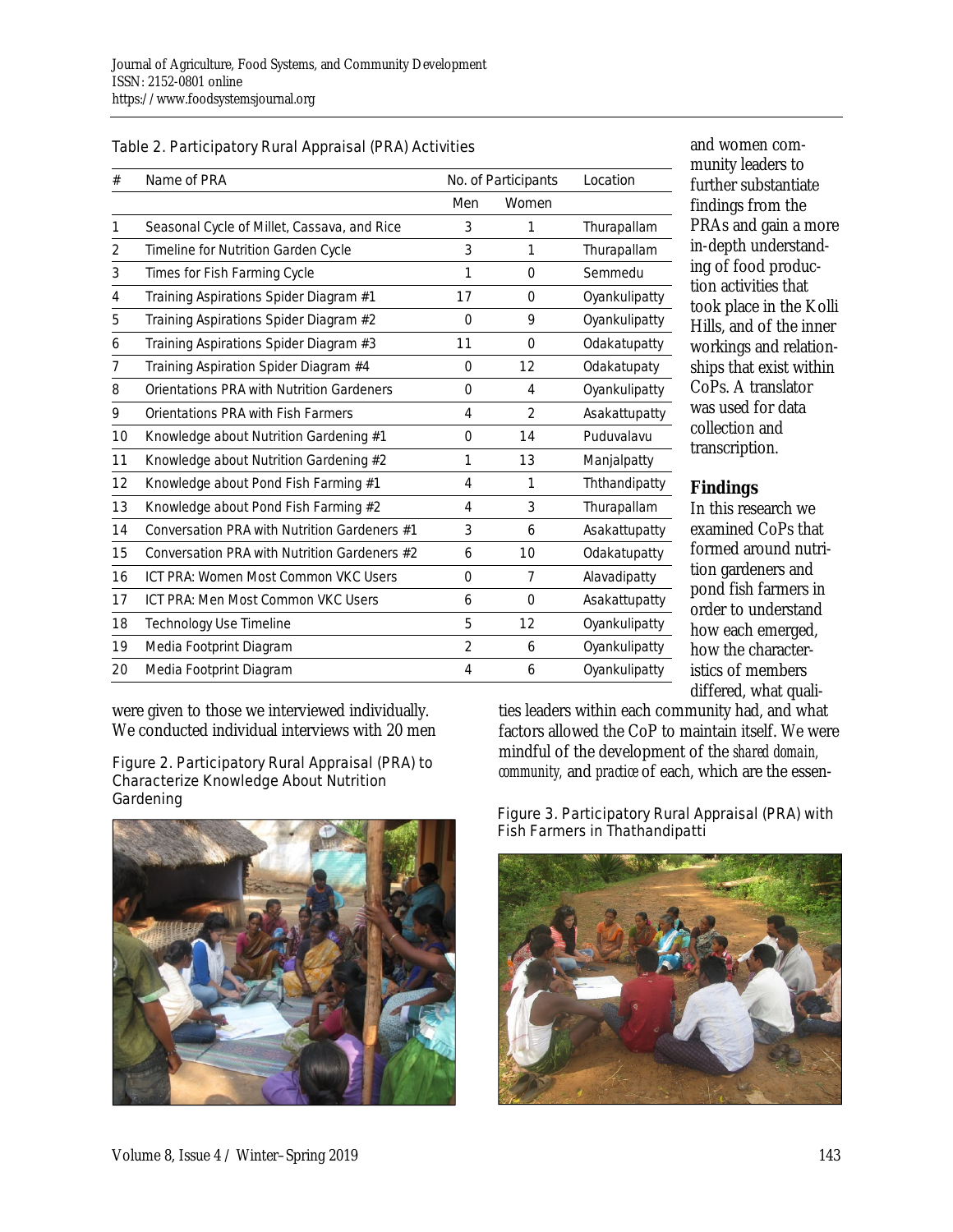| Table 2. Participatory Rural Appraisal (PRA) Activities |
|---------------------------------------------------------|
|---------------------------------------------------------|

| #  | Name of PRA                                  | No. of Participants |                | Location      |
|----|----------------------------------------------|---------------------|----------------|---------------|
|    |                                              | Men                 | Women          |               |
| 1  | Seasonal Cycle of Millet, Cassava, and Rice  | 3                   | 1              | Thurapallam   |
| 2  | Timeline for Nutrition Garden Cycle          | 3                   | 1              | Thurapallam   |
| 3  | Times for Fish Farming Cycle                 | 1                   | 0              | Semmedu       |
| 4  | Training Aspirations Spider Diagram #1       | 17                  | $\Omega$       | Oyankulipatty |
| 5  | Training Aspirations Spider Diagram #2       | $\Omega$            | 9              | Oyankulipatty |
| 6  | Training Aspirations Spider Diagram #3       | 11                  | $\overline{0}$ | Odakatupatty  |
| 7  | Training Aspiration Spider Diagram #4        | $\Omega$            | 12             | Odakatupaty   |
| 8  | Orientations PRA with Nutrition Gardeners    | 0                   | 4              | Oyankulipatty |
| 9  | Orientations PRA with Fish Farmers           | $\overline{4}$      | $\overline{2}$ | Asakattupatty |
| 10 | Knowledge about Nutrition Gardening #1       | 0                   | 14             | Puduvalavu    |
| 11 | Knowledge about Nutrition Gardening #2       | 1                   | 13             | Manjalpatty   |
| 12 | Knowledge about Pond Fish Farming #1         | 4                   | 1              | Ththandipatty |
| 13 | Knowledge about Pond Fish Farming #2         | 4                   | 3              | Thurapallam   |
| 14 | Conversation PRA with Nutrition Gardeners #1 | 3                   | 6              | Asakattupatty |
| 15 | Conversation PRA with Nutrition Gardeners #2 | 6                   | 10             | Odakatupatty  |
| 16 | ICT PRA: Women Most Common VKC Users         | $\Omega$            | 7              | Alavadipatty  |
| 17 | ICT PRA: Men Most Common VKC Users           | 6                   | $\Omega$       | Asakattupatty |
| 18 | Technology Use Timeline                      | 5                   | 12             | Oyankulipatty |
| 19 | Media Footprint Diagram                      | $\overline{2}$      | 6              | Oyankulipatty |
| 20 | Media Footprint Diagram                      | 4                   | 6              | Oyankulipatty |

were given to those we interviewed individually. We conducted individual interviews with 20 men

# Figure 2. Participatory Rural Appraisal (PRA) to Characterize Knowledge About Nutrition



and women community leaders to further substantiate findings from the PRAs and gain a more in-depth understanding of food production activities that took place in the Kolli Hills, and of the inner workings and relationships that exist within CoPs. A translator was used for data collection and transcription.

# **Findings**

In this research we examined CoPs that formed around nutrition gardeners and pond fish farmers in order to understand how each emerged, how the characteristics of members differed, what quali-

ties leaders within each community had, and what factors allowed the CoP to maintain itself. We were mindful of the development of the *shared domain, community,* and *practice* of each, which are the essen-

Gardening<br>
Figure 3. Participatory Rural Appraisal (PRA) with Fish Farmers in Thathandipatti

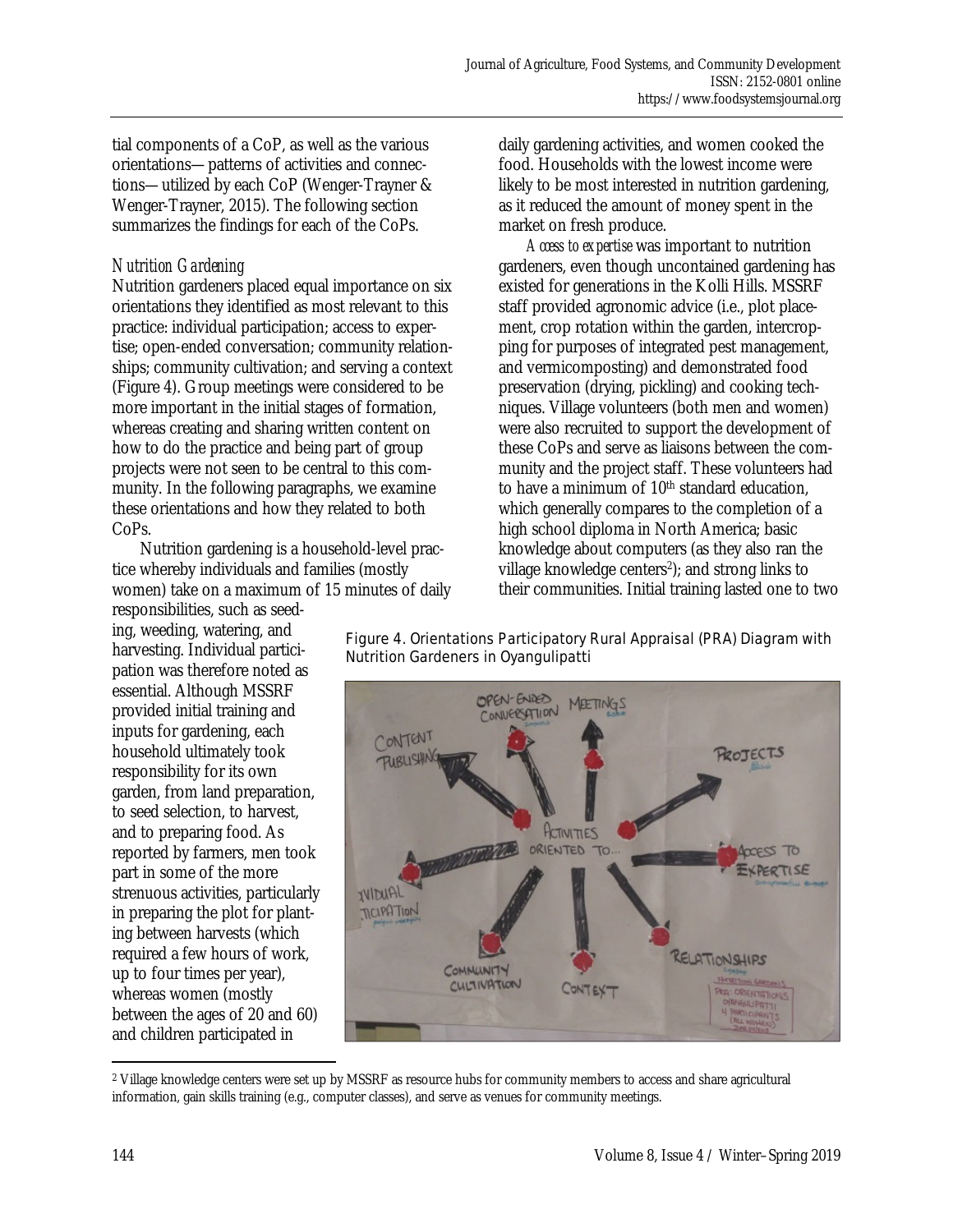tial components of a CoP, as well as the various orientations—patterns of activities and connections—utilized by each CoP (Wenger-Trayner & Wenger-Trayner, 2015). The following section summarizes the findings for each of the CoPs.

## *Nutrition Gardening*

Nutrition gardeners placed equal importance on six orientations they identified as most relevant to this practice: individual participation; access to expertise; open-ended conversation; community relationships; community cultivation; and serving a context (Figure 4). Group meetings were considered to be more important in the initial stages of formation, whereas creating and sharing written content on how to do the practice and being part of group projects were not seen to be central to this community. In the following paragraphs, we examine these orientations and how they related to both CoPs.

 Nutrition gardening is a household-level practice whereby individuals and families (mostly women) take on a maximum of 15 minutes of daily responsibilities, such as seed-

ing, weeding, watering, and harvesting. Individual participation was therefore noted as essential. Although MSSRF provided initial training and inputs for gardening, each household ultimately took responsibility for its own garden, from land preparation, to seed selection, to harvest, and to preparing food. As reported by farmers, men took part in some of the more strenuous activities, particularly in preparing the plot for planting between harvests (which required a few hours of work, up to four times per year), whereas women (mostly between the ages of 20 and 60) and children participated in

daily gardening activities, and women cooked the food. Households with the lowest income were likely to be most interested in nutrition gardening, as it reduced the amount of money spent in the market on fresh produce.

 *Access to expertise* was important to nutrition gardeners, even though uncontained gardening has existed for generations in the Kolli Hills. MSSRF staff provided agronomic advice (i.e., plot placement, crop rotation within the garden, intercropping for purposes of integrated pest management, and vermicomposting) and demonstrated food preservation (drying, pickling) and cooking techniques. Village volunteers (both men and women) were also recruited to support the development of these CoPs and serve as liaisons between the community and the project staff. These volunteers had to have a minimum of  $10<sup>th</sup>$  standard education, which generally compares to the completion of a high school diploma in North America; basic knowledge about computers (as they also ran the village knowledge centers<sup>2</sup>); and strong links to their communities. Initial training lasted one to two

Figure 4. Orientations Participatory Rural Appraisal (PRA) Diagram with Nutrition Gardeners in Oyangulipatti



 $\overline{a}$ 2 Village knowledge centers were set up by MSSRF as resource hubs for community members to access and share agricultural information, gain skills training (e.g., computer classes), and serve as venues for community meetings.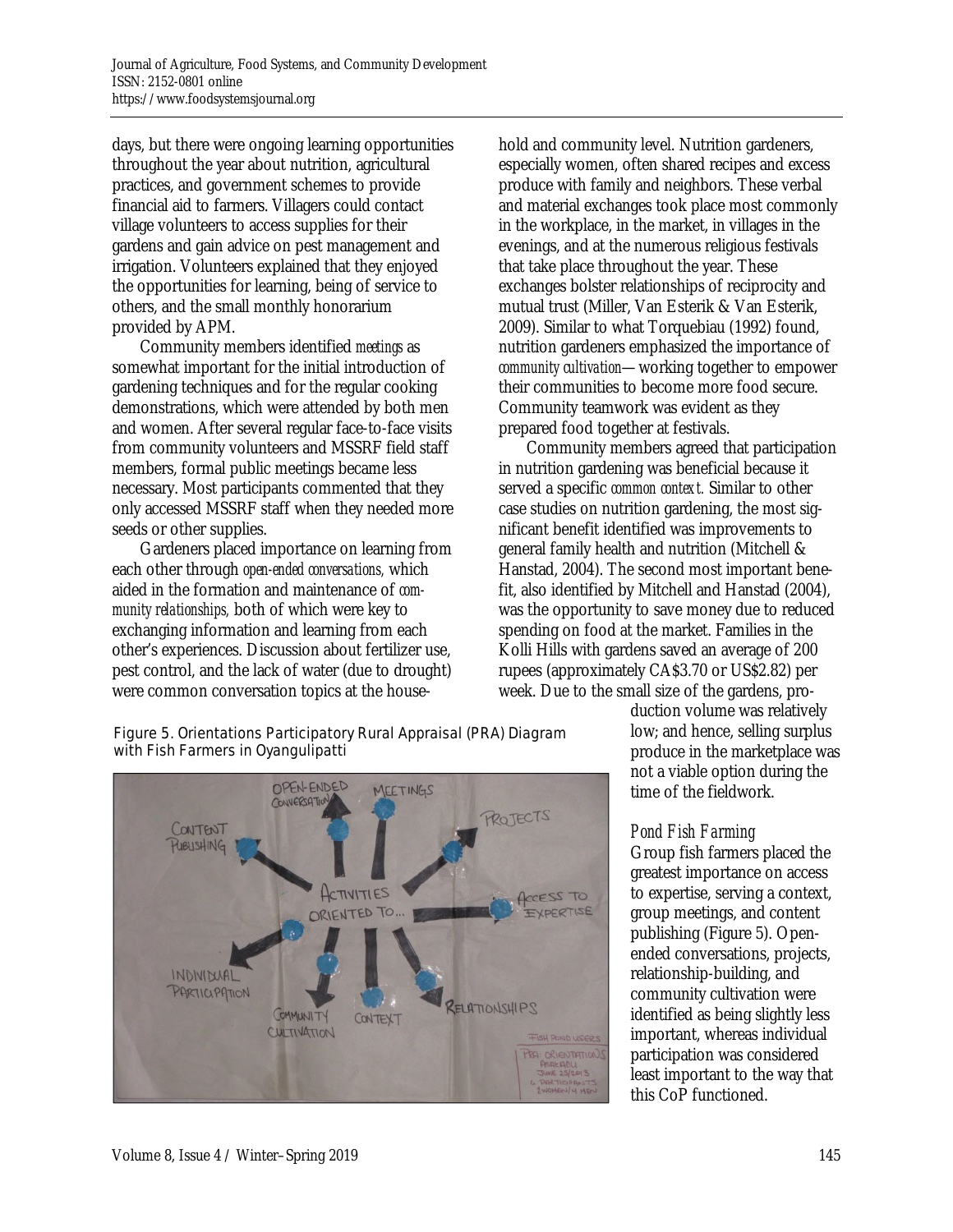days, but there were ongoing learning opportunities throughout the year about nutrition, agricultural practices, and government schemes to provide financial aid to farmers. Villagers could contact village volunteers to access supplies for their gardens and gain advice on pest management and irrigation. Volunteers explained that they enjoyed the opportunities for learning, being of service to others, and the small monthly honorarium provided by APM.

 Community members identified *meetings* as somewhat important for the initial introduction of gardening techniques and for the regular cooking demonstrations, which were attended by both men and women. After several regular face-to-face visits from community volunteers and MSSRF field staff members, formal public meetings became less necessary. Most participants commented that they only accessed MSSRF staff when they needed more seeds or other supplies.

 Gardeners placed importance on learning from each other through *open-ended conversations,* which aided in the formation and maintenance of *community relationships,* both of which were key to exchanging information and learning from each other's experiences. Discussion about fertilizer use, pest control, and the lack of water (due to drought) were common conversation topics at the household and community level. Nutrition gardeners, especially women, often shared recipes and excess produce with family and neighbors. These verbal and material exchanges took place most commonly in the workplace, in the market, in villages in the evenings, and at the numerous religious festivals that take place throughout the year. These exchanges bolster relationships of reciprocity and mutual trust (Miller, Van Esterik & Van Esterik, 2009). Similar to what Torquebiau (1992) found, nutrition gardeners emphasized the importance of *community cultivation*—working together to empower their communities to become more food secure. Community teamwork was evident as they prepared food together at festivals.

 Community members agreed that participation in nutrition gardening was beneficial because it served a specific *common context.* Similar to other case studies on nutrition gardening, the most significant benefit identified was improvements to general family health and nutrition (Mitchell & Hanstad, 2004). The second most important benefit, also identified by Mitchell and Hanstad (2004), was the opportunity to save money due to reduced spending on food at the market. Families in the Kolli Hills with gardens saved an average of 200 rupees (approximately CA\$3.70 or US\$2.82) per week. Due to the small size of the gardens, pro-

> duction volume was relatively low; and hence, selling surplus produce in the marketplace was not a viable option during the time of the fieldwork.

## *Pond Fish Farming*

Group fish farmers placed the greatest importance on access to expertise, serving a context, group meetings, and content publishing (Figure 5). Openended conversations, projects, relationship-building, and community cultivation were identified as being slightly less important, whereas individual participation was considered least important to the way that this CoP functioned.

#### Figure 5. Orientations Participatory Rural Appraisal (PRA) Diagram with Fish Farmers in Oyangulipatti

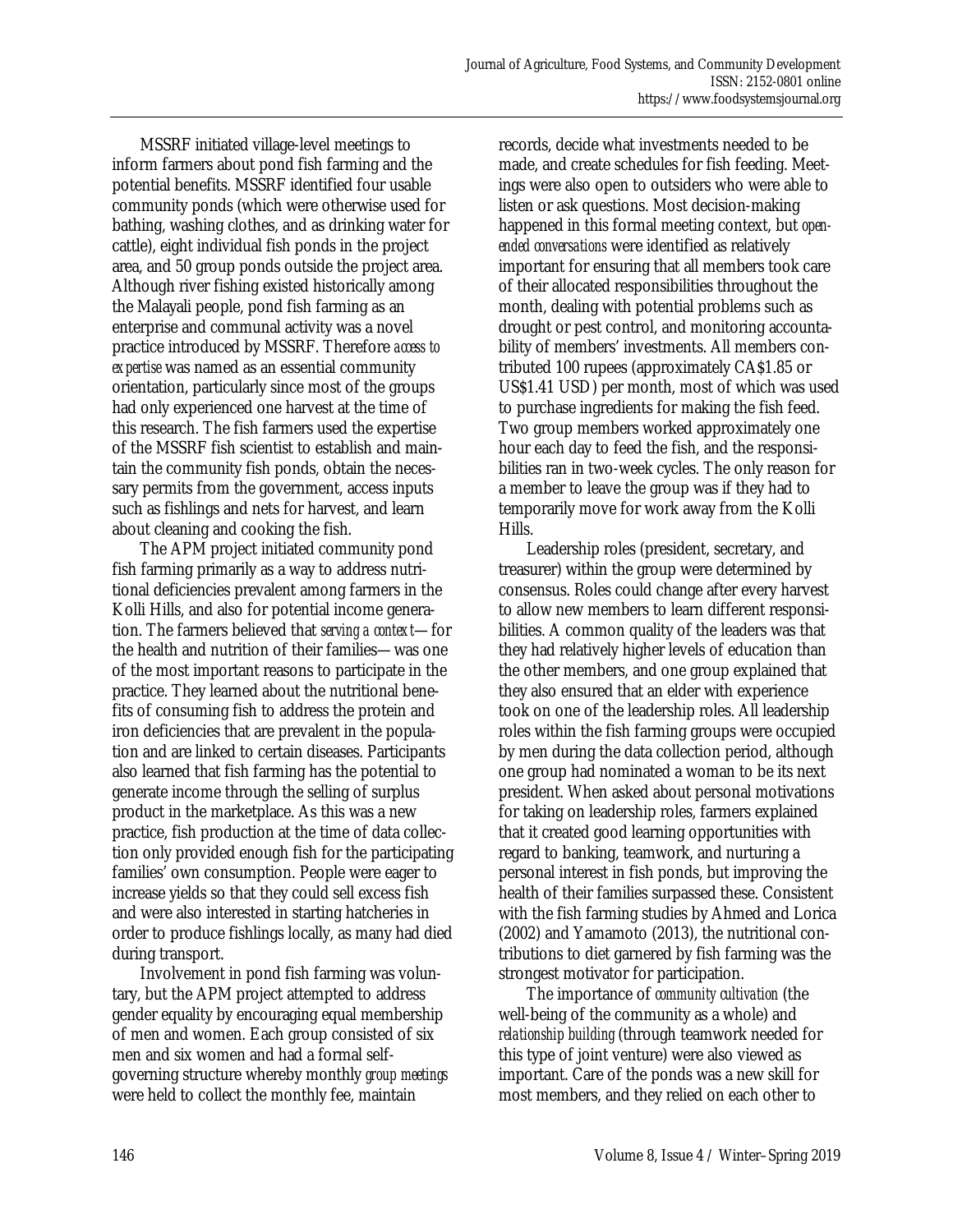MSSRF initiated village-level meetings to inform farmers about pond fish farming and the potential benefits. MSSRF identified four usable community ponds (which were otherwise used for bathing, washing clothes, and as drinking water for cattle), eight individual fish ponds in the project area, and 50 group ponds outside the project area. Although river fishing existed historically among the Malayali people, pond fish farming as an enterprise and communal activity was a novel practice introduced by MSSRF. Therefore *access to expertise* was named as an essential community orientation, particularly since most of the groups had only experienced one harvest at the time of this research. The fish farmers used the expertise of the MSSRF fish scientist to establish and maintain the community fish ponds, obtain the necessary permits from the government, access inputs such as fishlings and nets for harvest, and learn about cleaning and cooking the fish.

 The APM project initiated community pond fish farming primarily as a way to address nutritional deficiencies prevalent among farmers in the Kolli Hills, and also for potential income generation. The farmers believed that *serving a context*—for the health and nutrition of their families—was one of the most important reasons to participate in the practice. They learned about the nutritional benefits of consuming fish to address the protein and iron deficiencies that are prevalent in the population and are linked to certain diseases. Participants also learned that fish farming has the potential to generate income through the selling of surplus product in the marketplace. As this was a new practice, fish production at the time of data collection only provided enough fish for the participating families' own consumption. People were eager to increase yields so that they could sell excess fish and were also interested in starting hatcheries in order to produce fishlings locally, as many had died during transport.

 Involvement in pond fish farming was voluntary, but the APM project attempted to address gender equality by encouraging equal membership of men and women. Each group consisted of six men and six women and had a formal selfgoverning structure whereby monthly *group meetings* were held to collect the monthly fee, maintain

records, decide what investments needed to be made, and create schedules for fish feeding. Meetings were also open to outsiders who were able to listen or ask questions. Most decision-making happened in this formal meeting context, but *openended conversations* were identified as relatively important for ensuring that all members took care of their allocated responsibilities throughout the month, dealing with potential problems such as drought or pest control, and monitoring accountability of members' investments. All members contributed 100 rupees (approximately CA\$1.85 or US\$1.41 USD) per month, most of which was used to purchase ingredients for making the fish feed. Two group members worked approximately one hour each day to feed the fish, and the responsibilities ran in two-week cycles. The only reason for a member to leave the group was if they had to temporarily move for work away from the Kolli Hills.

 Leadership roles (president, secretary, and treasurer) within the group were determined by consensus. Roles could change after every harvest to allow new members to learn different responsibilities. A common quality of the leaders was that they had relatively higher levels of education than the other members, and one group explained that they also ensured that an elder with experience took on one of the leadership roles. All leadership roles within the fish farming groups were occupied by men during the data collection period, although one group had nominated a woman to be its next president. When asked about personal motivations for taking on leadership roles, farmers explained that it created good learning opportunities with regard to banking, teamwork, and nurturing a personal interest in fish ponds, but improving the health of their families surpassed these. Consistent with the fish farming studies by Ahmed and Lorica (2002) and Yamamoto (2013), the nutritional contributions to diet garnered by fish farming was the strongest motivator for participation.

 The importance of *community cultivation* (the well-being of the community as a whole) and *relationship building* (through teamwork needed for this type of joint venture) were also viewed as important. Care of the ponds was a new skill for most members, and they relied on each other to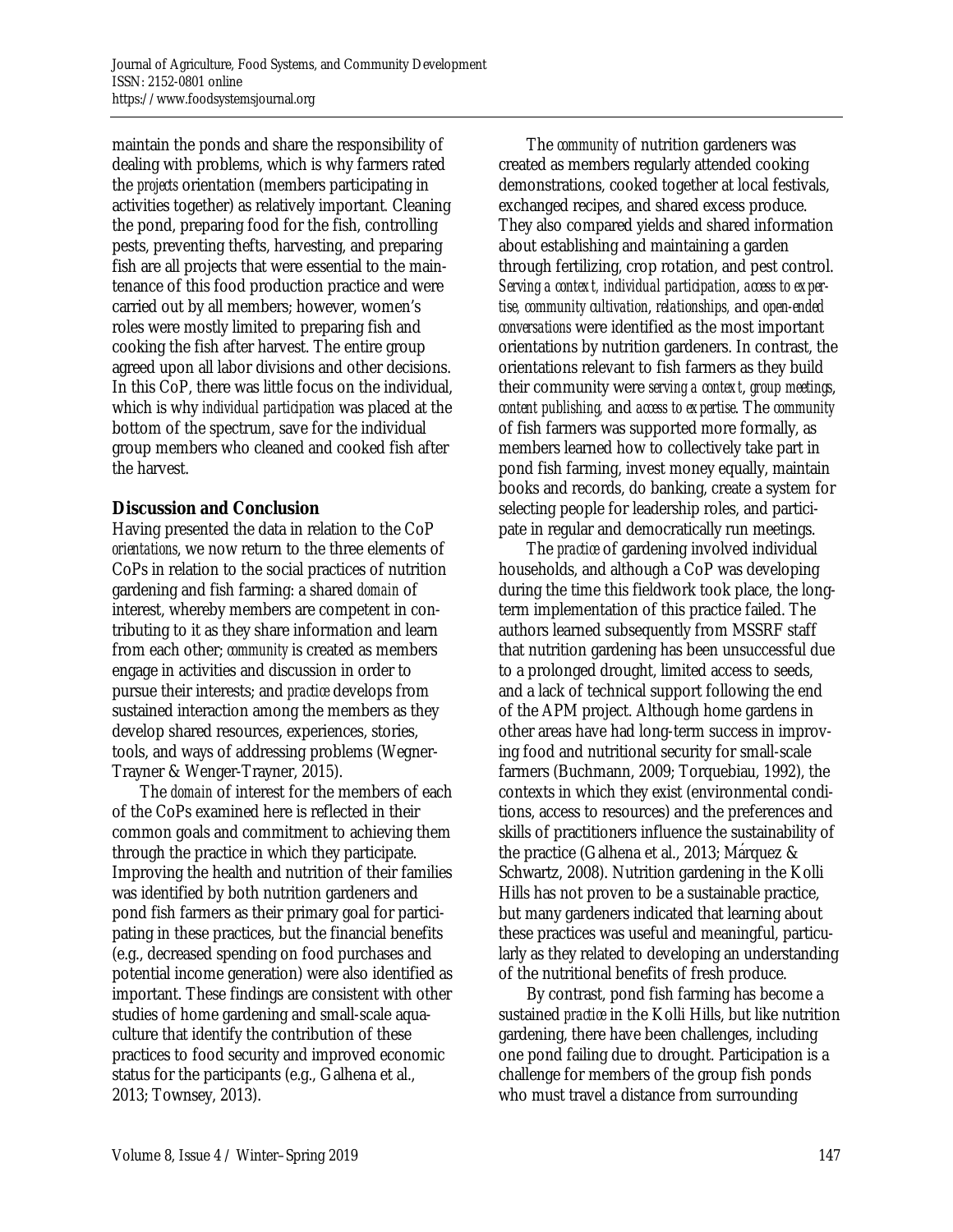maintain the ponds and share the responsibility of dealing with problems, which is why farmers rated the *projects* orientation (members participating in activities together) as relatively important*.* Cleaning the pond, preparing food for the fish, controlling pests, preventing thefts, harvesting, and preparing fish are all projects that were essential to the maintenance of this food production practice and were carried out by all members; however, women's roles were mostly limited to preparing fish and cooking the fish after harvest. The entire group agreed upon all labor divisions and other decisions. In this CoP, there was little focus on the individual, which is why *individual participation* was placed at the bottom of the spectrum, save for the individual group members who cleaned and cooked fish after the harvest.

## **Discussion and Conclusion**

Having presented the data in relation to the CoP *orientations*, we now return to the three elements of CoPs in relation to the social practices of nutrition gardening and fish farming: a shared *domain* of interest, whereby members are competent in contributing to it as they share information and learn from each other; *community* is created as members engage in activities and discussion in order to pursue their interests; and *practice* develops from sustained interaction among the members as they develop shared resources, experiences, stories, tools, and ways of addressing problems (Wegner-Trayner & Wenger-Trayner, 2015).

 The *domain* of interest for the members of each of the CoPs examined here is reflected in their common goals and commitment to achieving them through the practice in which they participate. Improving the health and nutrition of their families was identified by both nutrition gardeners and pond fish farmers as their primary goal for participating in these practices, but the financial benefits (e.g., decreased spending on food purchases and potential income generation) were also identified as important. These findings are consistent with other studies of home gardening and small-scale aquaculture that identify the contribution of these practices to food security and improved economic status for the participants (e.g., Galhena et al., 2013; Townsey, 2013).

 The *community* of nutrition gardeners was created as members regularly attended cooking demonstrations, cooked together at local festivals, exchanged recipes, and shared excess produce. They also compared yields and shared information about establishing and maintaining a garden through fertilizing, crop rotation, and pest control. *Serving a context, individual participation*, *access to expertise, community cultivation*, *relationships,* and *open-ended conversations* were identified as the most important orientations by nutrition gardeners. In contrast, the orientations relevant to fish farmers as they build their community were *serving a context*, *group meetings*, *content publishing,* and *access to expertise*. The *community* of fish farmers was supported more formally, as members learned how to collectively take part in pond fish farming, invest money equally, maintain books and records, do banking, create a system for selecting people for leadership roles, and participate in regular and democratically run meetings.

 The *practice* of gardening involved individual households, and although a CoP was developing during the time this fieldwork took place, the longterm implementation of this practice failed. The authors learned subsequently from MSSRF staff that nutrition gardening has been unsuccessful due to a prolonged drought, limited access to seeds, and a lack of technical support following the end of the APM project. Although home gardens in other areas have had long-term success in improving food and nutritional security for small-scale farmers (Buchmann, 2009; Torquebiau, 1992), the contexts in which they exist (environmental conditions, access to resources) and the preferences and skills of practitioners influence the sustainability of the practice (Galhena et al., 2013; Márquez & Schwartz, 2008). Nutrition gardening in the Kolli Hills has not proven to be a sustainable practice, but many gardeners indicated that learning about these practices was useful and meaningful, particularly as they related to developing an understanding of the nutritional benefits of fresh produce.

 By contrast, pond fish farming has become a sustained *practice* in the Kolli Hills, but like nutrition gardening, there have been challenges, including one pond failing due to drought. Participation is a challenge for members of the group fish ponds who must travel a distance from surrounding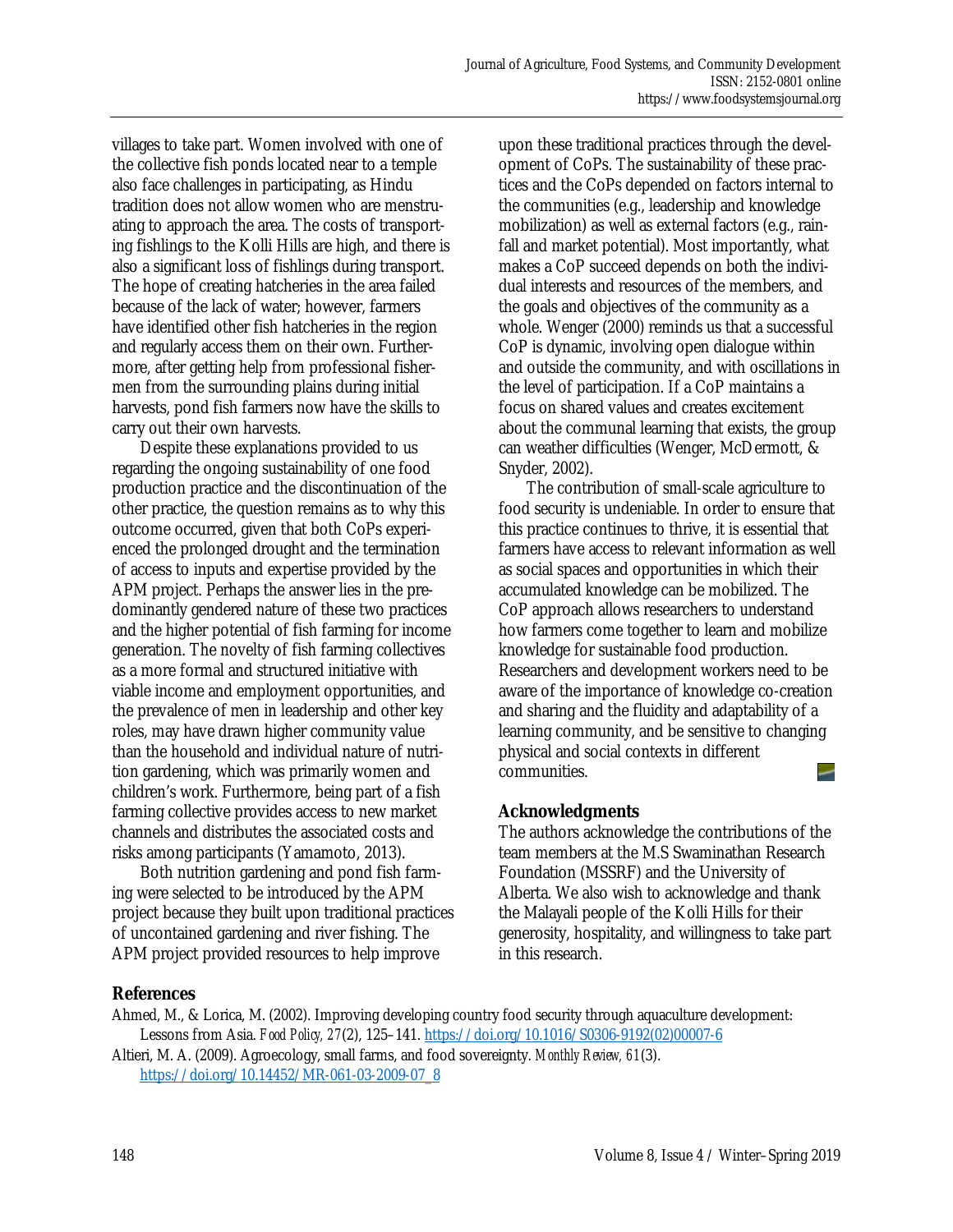villages to take part. Women involved with one of the collective fish ponds located near to a temple also face challenges in participating, as Hindu tradition does not allow women who are menstruating to approach the area. The costs of transporting fishlings to the Kolli Hills are high, and there is also a significant loss of fishlings during transport. The hope of creating hatcheries in the area failed because of the lack of water; however, farmers have identified other fish hatcheries in the region and regularly access them on their own. Furthermore, after getting help from professional fishermen from the surrounding plains during initial harvests, pond fish farmers now have the skills to carry out their own harvests.

 Despite these explanations provided to us regarding the ongoing sustainability of one food production practice and the discontinuation of the other practice, the question remains as to why this outcome occurred, given that both CoPs experienced the prolonged drought and the termination of access to inputs and expertise provided by the APM project. Perhaps the answer lies in the predominantly gendered nature of these two practices and the higher potential of fish farming for income generation. The novelty of fish farming collectives as a more formal and structured initiative with viable income and employment opportunities, and the prevalence of men in leadership and other key roles, may have drawn higher community value than the household and individual nature of nutrition gardening, which was primarily women and children's work. Furthermore, being part of a fish farming collective provides access to new market channels and distributes the associated costs and risks among participants (Yamamoto, 2013).

 Both nutrition gardening and pond fish farming were selected to be introduced by the APM project because they built upon traditional practices of uncontained gardening and river fishing. The APM project provided resources to help improve

upon these traditional practices through the development of CoPs. The sustainability of these practices and the CoPs depended on factors internal to the communities (e.g., leadership and knowledge mobilization) as well as external factors (e.g., rainfall and market potential). Most importantly, what makes a CoP succeed depends on both the individual interests and resources of the members, and the goals and objectives of the community as a whole. Wenger (2000) reminds us that a successful CoP is dynamic, involving open dialogue within and outside the community, and with oscillations in the level of participation. If a CoP maintains a focus on shared values and creates excitement about the communal learning that exists, the group can weather difficulties (Wenger, McDermott, & Snyder, 2002).

 The contribution of small-scale agriculture to food security is undeniable. In order to ensure that this practice continues to thrive, it is essential that farmers have access to relevant information as well as social spaces and opportunities in which their accumulated knowledge can be mobilized. The CoP approach allows researchers to understand how farmers come together to learn and mobilize knowledge for sustainable food production. Researchers and development workers need to be aware of the importance of knowledge co-creation and sharing and the fluidity and adaptability of a learning community, and be sensitive to changing physical and social contexts in different communities.  $\overline{\phantom{0}}$ 

## **Acknowledgments**

The authors acknowledge the contributions of the team members at the M.S Swaminathan Research Foundation (MSSRF) and the University of Alberta. We also wish to acknowledge and thank the Malayali people of the Kolli Hills for their generosity, hospitality, and willingness to take part in this research.

## **References**

Ahmed, M., & Lorica, M. (2002). Improving developing country food security through aquaculture development: Lessons from Asia. *Food Policy, 27*(2), 125–141. [https://doi.org/10.1016/S0306-9192\(02\)00007-6](https://doi.org/10.1016/S0306-9192(02)00007-6)

Altieri, M. A. (2009). Agroecology, small farms, and food sovereignty. *Monthly Review, 61*(3). https://doi.org/10.14452/MR-061-03-2009-07\_8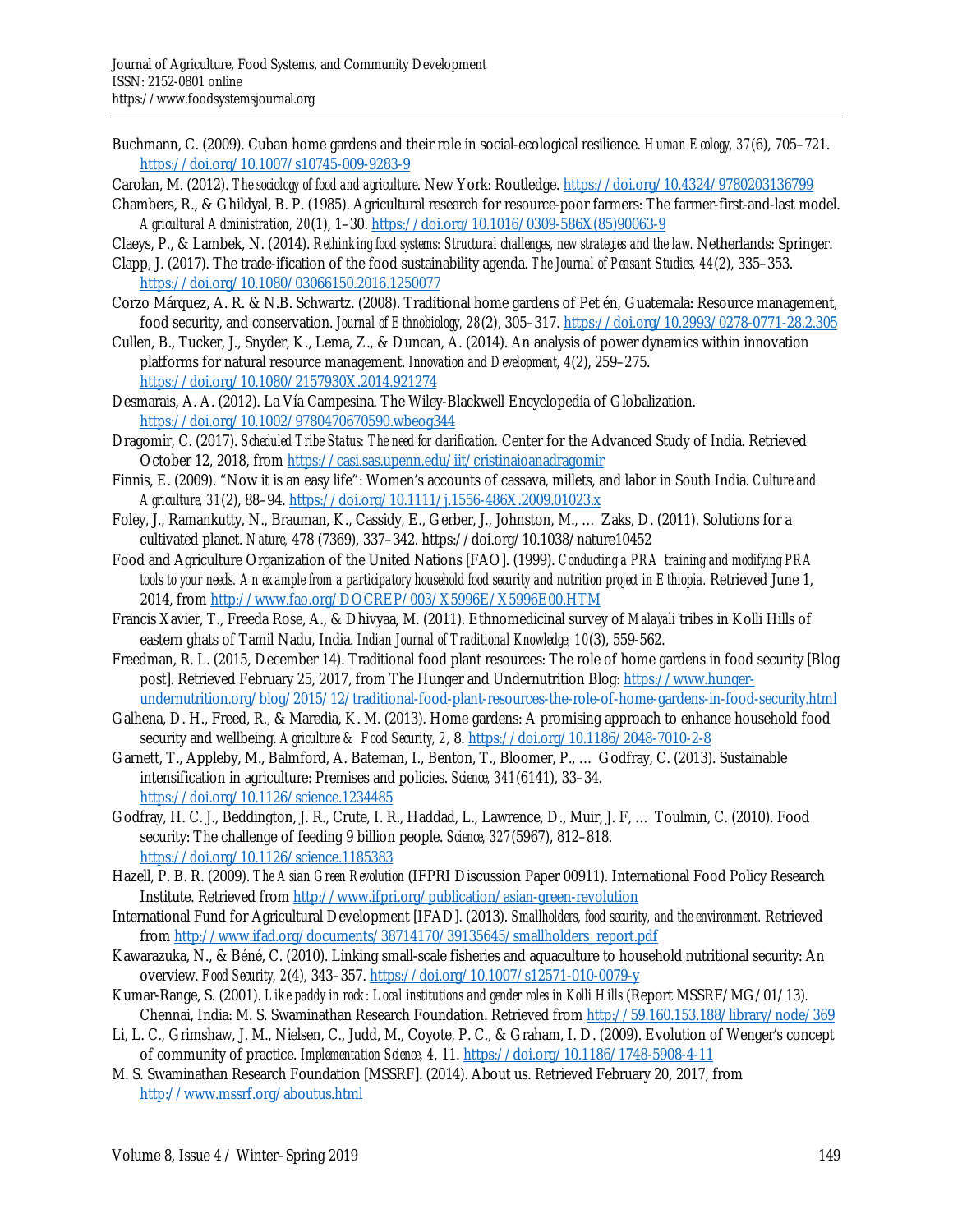- Buchmann, C. (2009). Cuban home gardens and their role in social-ecological resilience. *Human Ecology, 37*(6), 705–721. https://doi.org/10.1007/s10745-009-9283-9
- Carolan, M. (2012). *The sociology of food and agriculture*. New York: Routledge. https://doi.org/10.4324/9780203136799
- Chambers, R., & Ghildyal, B. P. (1985). Agricultural research for resource-poor farmers: The farmer-first-and-last model. *Agricultural Administration, 20*(1), 1–30. [https://doi.org/10.1016/0309-586X\(85\)90063-9](https://doi.org/10.1016/0309-586X(85)90063-9)
- Claeys, P., & Lambek, N. (2014). *Rethinking food systems: Structural challenges, new strategies and the law.* Netherlands: Springer.
- Clapp, J. (2017). The trade-ification of the food sustainability agenda. *The Journal of Peasant Studies, 44*(2), 335–353. https://doi.org/10.1080/03066150.2016.1250077
- Corzo Márquez, A. R. & N.B. Schwartz. (2008). Traditional home gardens of Pet én, Guatemala: Resource management, food security, and conservation. *Journal of Ethnobiology, 28*(2), 305–317. https://doi.org/10.2993/0278-0771-28.2.305
- Cullen, B., Tucker, J., Snyder, K., Lema, Z., & Duncan, A. (2014). An analysis of power dynamics within innovation platforms for natural resource management. *Innovation and Development, 4*(2), 259–275. https://doi.org/10.1080/2157930X.2014.921274
- Desmarais, A. A. (2012). La Vía Campesina. The Wiley-Blackwell Encyclopedia of Globalization. https://doi.org/10.1002/9780470670590.wbeog344
- Dragomir, C. (2017). *Scheduled Tribe Status: The need for clarification.* Center for the Advanced Study of India. Retrieved October 12, 2018, from https://casi.sas.upenn.edu/iit/cristinaioanadragomir
- Finnis, E. (2009). "Now it is an easy life": Women's accounts of cassava, millets, and labor in South India. *Culture and Agriculture, 31*(2), 88–94. https://doi.org/10.1111/j.1556-486X.2009.01023.x
- Foley, J., Ramankutty, N., Brauman, K., Cassidy, E., Gerber, J., Johnston, M., … Zaks, D. (2011). Solutions for a cultivated planet. *Nature,* 478 (7369), 337–342. https://doi.org/10.1038/nature10452
- Food and Agriculture Organization of the United Nations [FAO]. (1999). *Conducting a PRA training and modifying PRA*  tools to your needs. An example from a participatory household food security and nutrition project in Ethiopia. Retrieved June 1, 2014, from http://www.fao.org/DOCREP/003/X5996E/X5996E00.HTM
- Francis Xavier, T., Freeda Rose, A., & Dhivyaa, M. (2011). Ethnomedicinal survey of *Malayali* tribes in Kolli Hills of eastern ghats of Tamil Nadu, India. *Indian Journal of Traditional Knowledge, 10*(3), 559-562.
- Freedman, R. L. (2015, December 14). Traditional food plant resources: The role of home gardens in food security [Blog post]. Retrieved February 25, 2017, from The Hunger and Undernutrition Blog: https://www.hunger[undernutrition.org/blog/2015/12/traditional-food-plant-resources-the-role-of-home-gardens-in-food-security.html](https://www.hunger-undernutrition.org/blog/2015/12/traditional-food-plant-resources-the-role-of-home-gardens-in-food-security.html)
- Galhena, D. H., Freed, R., & Maredia, K. M. (2013). Home gardens: A promising approach to enhance household food security and wellbeing. *Agriculture & Food Security, 2,* 8. https://doi.org/10.1186/2048-7010-2-8
- Garnett, T., Appleby, M., Balmford, A. Bateman, I., Benton, T., Bloomer, P., … Godfray, C. (2013). Sustainable intensification in agriculture: Premises and policies. *Science, 341*(6141), 33–34. https://doi.org/10.1126/science.1234485
- Godfray, H. C. J., Beddington, J. R., Crute, I. R., Haddad, L., Lawrence, D., Muir, J. F, … Toulmin, C. (2010). Food security: The challenge of feeding 9 billion people. *Science, 327*(5967), 812–818. https://doi.org/10.1126/science.1185383
- Hazell, P. B. R. (2009). *The Asian Green Revolution* (IFPRI Discussion Paper 00911). International Food Policy Research Institute. Retrieved from http://www.ifpri.org/publication/asian-green-revolution
- International Fund for Agricultural Development [IFAD]. (2013). *Smallholders, food security, and the environment.* Retrieved from http://www.ifad.org/documents/38714170/39135645/smallholders\_report.pdf
- Kawarazuka, N., & Béné, C. (2010). Linking small-scale fisheries and aquaculture to household nutritional security: An overview. *Food Security, 2*(4), 343–357. https://doi.org/10.1007/s12571-010-0079-y
- Kumar-Range, S. (2001). *Like paddy in rock: Local institutions and gender roles in Kolli Hills* (Report MSSRF/MG/01/13)*.*  Chennai, India: M. S. Swaminathan Research Foundation. Retrieved from http://59.160.153.188/library/node/369
- Li, L. C., Grimshaw, J. M., Nielsen, C., Judd, M., Coyote, P. C., & Graham, I. D. (2009). Evolution of Wenger's concept of community of practice. *Implementation Science, 4,* 11. https://doi.org/10.1186/1748-5908-4-11
- M. S. Swaminathan Research Foundation [MSSRF]. (2014). About us. Retrieved February 20, 2017, from http://www.mssrf.org/aboutus.html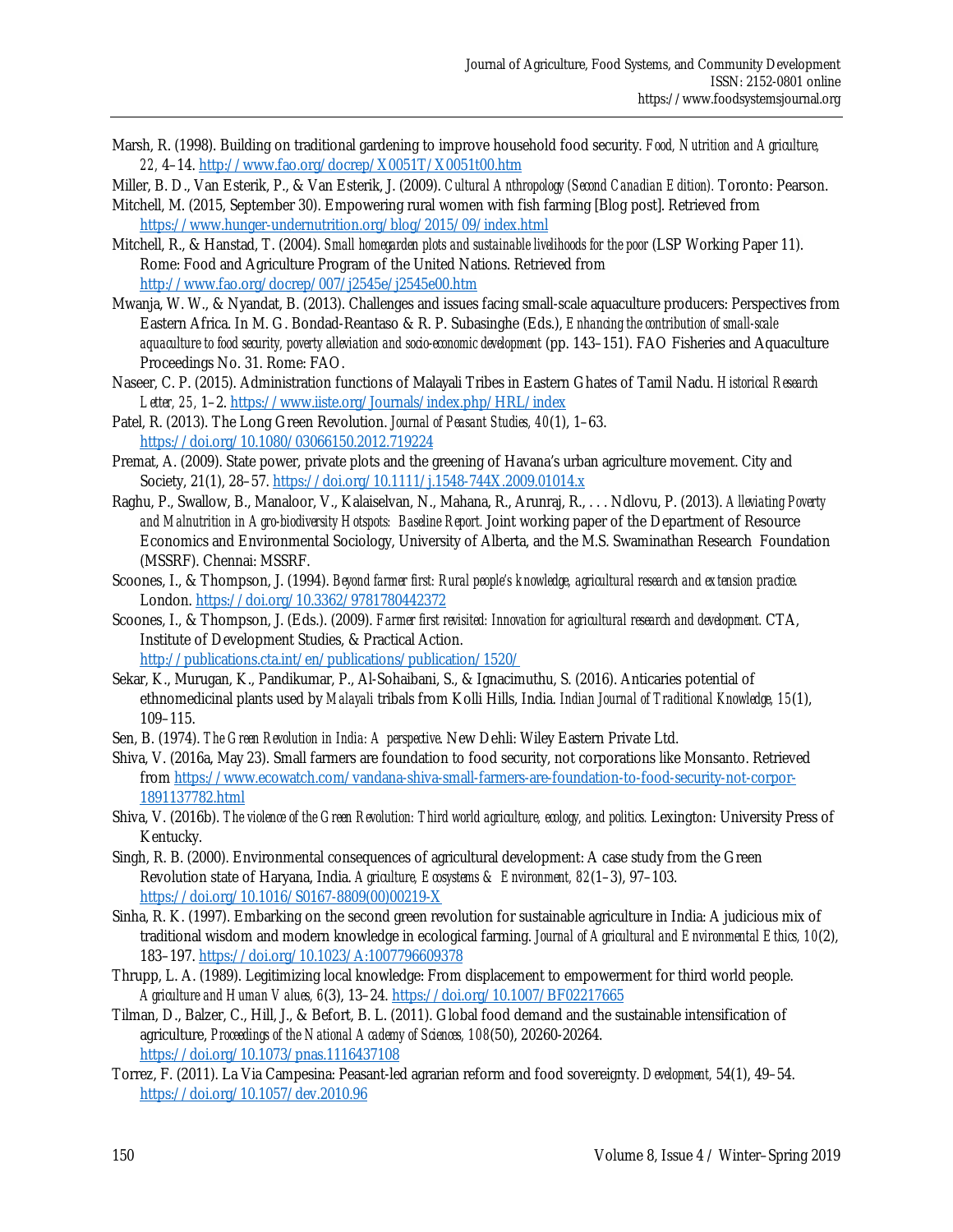Marsh, R. (1998). Building on traditional gardening to improve household food security. *Food, Nutrition and Agriculture, 22,* 4–14. http://www.fao.org/docrep/X0051T/X0051t00.htm

Miller, B. D., Van Esterik, P., & Van Esterik, J. (2009). *Cultural Anthropology (Second Canadian Edition).* Toronto: Pearson.

- Mitchell, M. (2015, September 30). Empowering rural women with fish farming [Blog post]. Retrieved from https://www.hunger-undernutrition.org/blog/2015/09/index.html
- Mitchell, R., & Hanstad, T. (2004). *Small homegarden plots and sustainable livelihoods for the poor* (LSP Working Paper 11). Rome: Food and Agriculture Program of the United Nations. Retrieved from http://www.fao.org/docrep/007/j2545e/j2545e00.htm
- Mwanja, W. W., & Nyandat, B. (2013). Challenges and issues facing small-scale aquaculture producers: Perspectives from Eastern Africa. In M. G. Bondad-Reantaso & R. P. Subasinghe (Eds.), *Enhancing the contribution of small-scale aquaculture to food security, poverty alleviation and socio-economic development* (pp. 143–151). FAO Fisheries and Aquaculture Proceedings No. 31. Rome: FAO.
- Naseer, C. P. (2015). Administration functions of Malayali Tribes in Eastern Ghates of Tamil Nadu. *Historical Research Letter, 25,* 1–2. https://www.iiste.org/Journals/index.php/HRL/index
- Patel, R. (2013). The Long Green Revolution. *Journal of Peasant Studies, 40*(1), 1–63. https://doi.org/10.1080/03066150.2012.719224
- Premat, A. (2009). State power, private plots and the greening of Havana's urban agriculture movement. City and Society, 21(1), 28–57. https://doi.org/10.1111/j.1548-744X.2009.01014.x
- Raghu, P., Swallow, B., Manaloor, V., Kalaiselvan, N., Mahana, R., Arunraj, R., . . . Ndlovu, P. (2013). *Alleviating Poverty*  and Malnutrition in Agro-biodiversity Hotspots: Baseline Report. Joint working paper of the Department of Resource Economics and Environmental Sociology, University of Alberta, and the M.S. Swaminathan Research Foundation (MSSRF). Chennai: MSSRF.
- Scoones, I., & Thompson, J. (1994). *Beyond farmer first: Rural people's knowledge, agricultural research and extension practice.*  London. https://doi.org/10.3362/9781780442372
- Scoones, I., & Thompson, J. (Eds.). (2009). *Farmer first revisited: Innovation for agricultural research and development.* CTA, Institute of Development Studies, & Practical Action.

http://publications.cta.int/en/publications/publication/1520/

- Sekar, K., Murugan, K., Pandikumar, P., Al-Sohaibani, S., & Ignacimuthu, S. (2016). Anticaries potential of ethnomedicinal plants used by *Malayali* tribals from Kolli Hills, India. *Indian Journal of Traditional Knowledge, 15*(1), 109–115.
- Sen, B. (1974). *The Green Revolution in India: A perspective*. New Dehli: Wiley Eastern Private Ltd.
- Shiva, V. (2016a, May 23). Small farmers are foundation to food security, not corporations like Monsanto. Retrieved [from https://www.ecowatch.com/vandana-shiva-small-farmers-are-foundation-to-food-security-not-corpor-](https://www.ecowatch.com/vandana-shiva-small-farmers-are-foundation-to-food-security-not-corpor-1891137782.html)1891137782.html
- Shiva, V. (2016b). *The violence of the Green Revolution: Third world agriculture, ecology, and politics.* Lexington: University Press of Kentucky.
- Singh, R. B. (2000). Environmental consequences of agricultural development: A case study from the Green Revolution state of Haryana, India. *Agriculture, Ecosystems & Environment, 82*(1–3), 97–103. [https://doi.org/10.1016/S0167-8809\(00\)00219-X](https://doi.org/10.1016/S0167-8809(00)00219-X)
- Sinha, R. K. (1997). Embarking on the second green revolution for sustainable agriculture in India: A judicious mix of traditional wisdom and modern knowledge in ecological farming. *Journal of Agricultural and Environmental Ethics, 10*(2), 183–197. https://doi.org/10.1023/A:1007796609378
- Thrupp, L. A. (1989). Legitimizing local knowledge: From displacement to empowerment for third world people. *Agriculture and Human Values, 6*(3), 13–24. https://doi.org/10.1007/BF02217665
- Tilman, D., Balzer, C., Hill, J., & Befort, B. L. (2011). Global food demand and the sustainable intensification of agriculture, *Proceedings of the National Academy of Sciences, 108*(50), 20260-20264. https://doi.org/10.1073/pnas.1116437108
- Torrez, F. (2011). La Via Campesina: Peasant-led agrarian reform and food sovereignty. *Development,* 54(1), 49–54. https://doi.org/10.1057/dev.2010.96